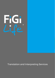

Translation and Interpreting Services